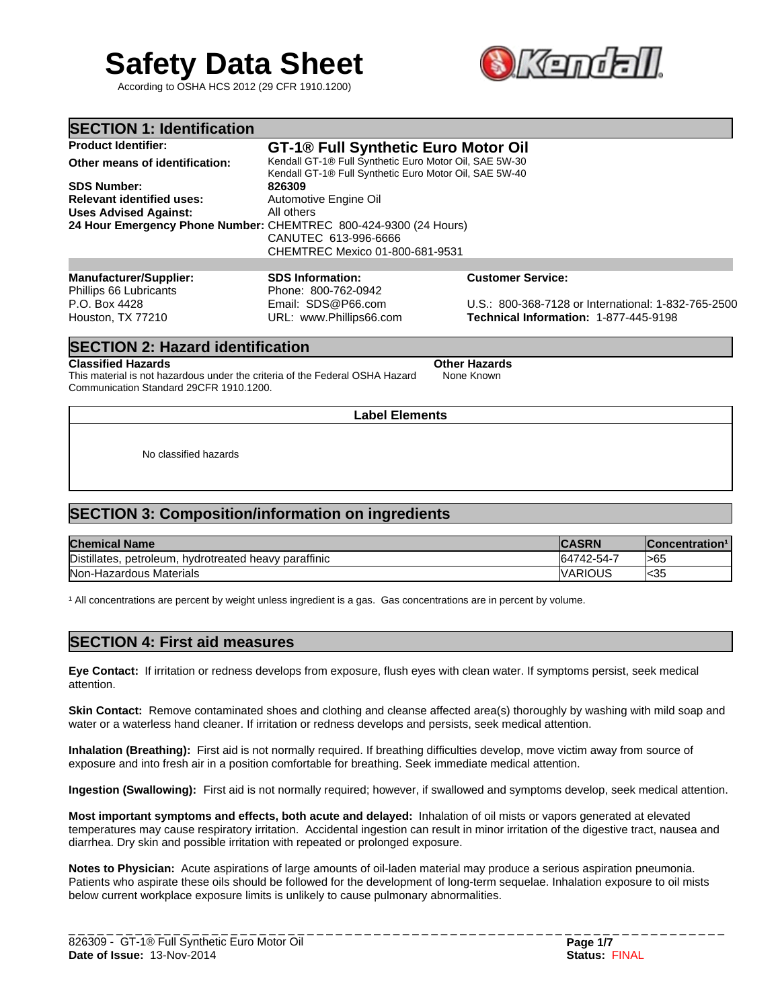# **Safety Data Sheet**

According to OSHA HCS 2012 (29 CFR 1910.1200)



**Technical Information:** 1-877-445-9198

| <b>SECTION 1: Identification</b>                                 |                                                                                                                  |                                                     |
|------------------------------------------------------------------|------------------------------------------------------------------------------------------------------------------|-----------------------------------------------------|
| <b>Product Identifier:</b>                                       | GT-1 <sup>®</sup> Full Synthetic Euro Motor Oil                                                                  |                                                     |
| Other means of identification:                                   | Kendall GT-1® Full Synthetic Euro Motor Oil, SAE 5W-30<br>Kendall GT-1® Full Synthetic Euro Motor Oil, SAE 5W-40 |                                                     |
| <b>SDS Number:</b>                                               | 826309                                                                                                           |                                                     |
| <b>Relevant identified uses:</b>                                 | Automotive Engine Oil                                                                                            |                                                     |
| <b>Uses Advised Against:</b>                                     | All others                                                                                                       |                                                     |
| 24 Hour Emergency Phone Number: CHEMTREC 800-424-9300 (24 Hours) | CANUTEC 613-996-6666<br>CHEMTREC Mexico 01-800-681-9531                                                          |                                                     |
|                                                                  |                                                                                                                  |                                                     |
| <b>Manufacturer/Supplier:</b><br>Phillips 66 Lubricants          | <b>SDS Information:</b><br>Phone: 800-762-0942                                                                   | <b>Customer Service:</b>                            |
| P.O. Box 4428                                                    | Email: SDS@P66.com                                                                                               | U.S.: 800-368-7128 or International: 1-832-765-2500 |

## **SECTION 2: Hazard identification**

## **Classified Hazards Other Hazards**

Houston, TX 77210

This material is not hazardous under the criteria of the Federal OSHA Hazard Communication Standard 29CFR 1910.1200. None Known

URL: www.Phillips66.com

**Label Elements**

No classified hazards

# **SECTION 3: Composition/information on ingredients**

| <b>Chemical Name</b>                                       | <b>ACDM</b><br>ASKN | Concentration <sup>1</sup> |
|------------------------------------------------------------|---------------------|----------------------------|
| Distillates<br>hvdrotreated heavy paraffinic<br>petroleum. | 64742-54-7          | >65                        |
| Non-Hazardous Materials                                    | IVARIOUS            | l<35                       |

<sup>1</sup> All concentrations are percent by weight unless ingredient is a gas. Gas concentrations are in percent by volume.

# **SECTION 4: First aid measures**

**Eye Contact:** If irritation or redness develops from exposure, flush eyes with clean water. If symptoms persist, seek medical attention.

**Skin Contact:** Remove contaminated shoes and clothing and cleanse affected area(s) thoroughly by washing with mild soap and water or a waterless hand cleaner. If irritation or redness develops and persists, seek medical attention.

**Inhalation (Breathing):** First aid is not normally required. If breathing difficulties develop, move victim away from source of exposure and into fresh air in a position comfortable for breathing. Seek immediate medical attention.

**Ingestion (Swallowing):** First aid is not normally required; however, if swallowed and symptoms develop, seek medical attention.

**Most important symptoms and effects, both acute and delayed:** Inhalation of oil mists or vapors generated at elevated temperatures may cause respiratory irritation. Accidental ingestion can result in minor irritation of the digestive tract, nausea and diarrhea. Dry skin and possible irritation with repeated or prolonged exposure.

**Notes to Physician:** Acute aspirations of large amounts of oil-laden material may produce a serious aspiration pneumonia. Patients who aspirate these oils should be followed for the development of long-term sequelae. Inhalation exposure to oil mists below current workplace exposure limits is unlikely to cause pulmonary abnormalities.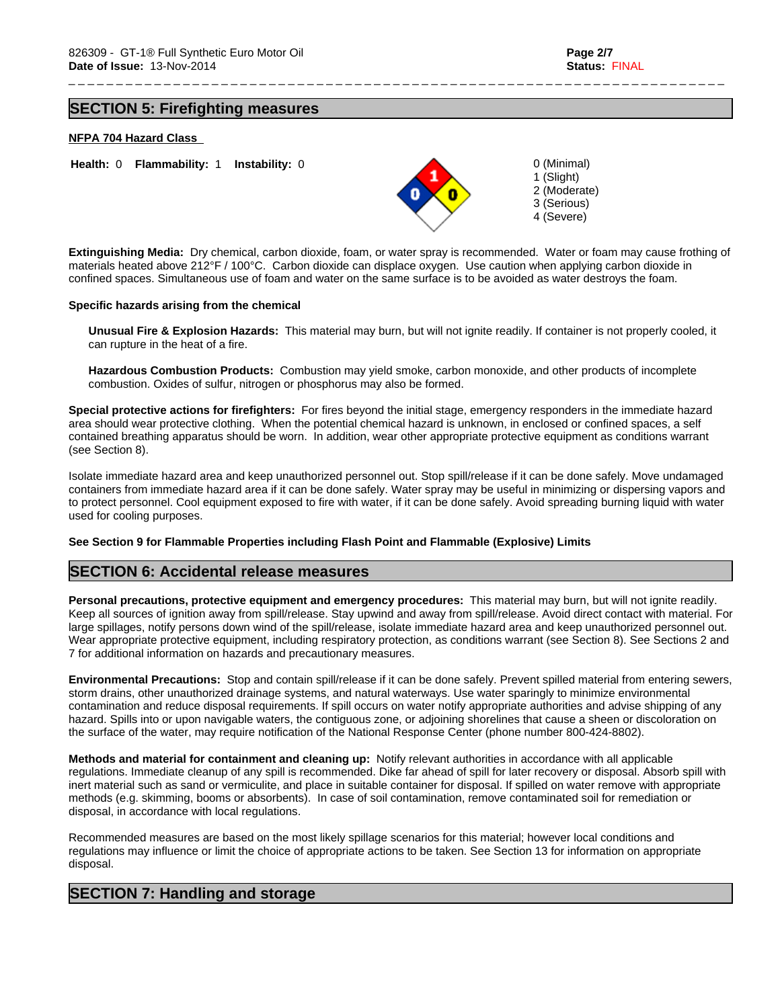1 (Slight) 2 (Moderate) 3 (Serious) 4 (Severe)

# **SECTION 5: Firefighting measures**

## **NFPA 704 Hazard Class**



**Extinguishing Media:** Dry chemical, carbon dioxide, foam, or water spray is recommended. Water or foam may cause frothing of materials heated above 212°F / 100°C. Carbon dioxide can displace oxygen. Use caution when applying carbon dioxide in confined spaces. Simultaneous use of foam and water on the same surface is to be avoided as water destroys the foam.

\_ \_ \_ \_ \_ \_ \_ \_ \_ \_ \_ \_ \_ \_ \_ \_ \_ \_ \_ \_ \_ \_ \_ \_ \_ \_ \_ \_ \_ \_ \_ \_ \_ \_ \_ \_ \_ \_ \_ \_ \_ \_ \_ \_ \_ \_ \_ \_ \_ \_ \_ \_ \_ \_ \_ \_ \_ \_ \_ \_ \_ \_ \_ \_ \_ \_ \_ \_ \_

## **Specific hazards arising from the chemical**

**Unusual Fire & Explosion Hazards:** This material may burn, but will not ignite readily. If container is not properly cooled, it can rupture in the heat of a fire.

**Hazardous Combustion Products:** Combustion may yield smoke, carbon monoxide, and other products of incomplete combustion. Oxides of sulfur, nitrogen or phosphorus may also be formed.

**Special protective actions for firefighters:** For fires beyond the initial stage, emergency responders in the immediate hazard area should wear protective clothing. When the potential chemical hazard is unknown, in enclosed or confined spaces, a self contained breathing apparatus should be worn. In addition, wear other appropriate protective equipment as conditions warrant (see Section 8).

Isolate immediate hazard area and keep unauthorized personnel out. Stop spill/release if it can be done safely. Move undamaged containers from immediate hazard area if it can be done safely. Water spray may be useful in minimizing or dispersing vapors and to protect personnel. Cool equipment exposed to fire with water, if it can be done safely. Avoid spreading burning liquid with water used for cooling purposes.

## **See Section 9 for Flammable Properties including Flash Point and Flammable (Explosive) Limits**

## **SECTION 6: Accidental release measures**

**Personal precautions, protective equipment and emergency procedures:** This material may burn, but will not ignite readily. Keep all sources of ignition away from spill/release. Stay upwind and away from spill/release. Avoid direct contact with material. For large spillages, notify persons down wind of the spill/release, isolate immediate hazard area and keep unauthorized personnel out. Wear appropriate protective equipment, including respiratory protection, as conditions warrant (see Section 8). See Sections 2 and 7 for additional information on hazards and precautionary measures.

**Environmental Precautions:** Stop and contain spill/release if it can be done safely. Prevent spilled material from entering sewers, storm drains, other unauthorized drainage systems, and natural waterways. Use water sparingly to minimize environmental contamination and reduce disposal requirements. If spill occurs on water notify appropriate authorities and advise shipping of any hazard. Spills into or upon navigable waters, the contiguous zone, or adjoining shorelines that cause a sheen or discoloration on the surface of the water, may require notification of the National Response Center (phone number 800-424-8802).

**Methods and material for containment and cleaning up:** Notify relevant authorities in accordance with all applicable regulations. Immediate cleanup of any spill is recommended. Dike far ahead of spill for later recovery or disposal. Absorb spill with inert material such as sand or vermiculite, and place in suitable container for disposal. If spilled on water remove with appropriate methods (e.g. skimming, booms or absorbents). In case of soil contamination, remove contaminated soil for remediation or disposal, in accordance with local regulations.

Recommended measures are based on the most likely spillage scenarios for this material; however local conditions and regulations may influence or limit the choice of appropriate actions to be taken. See Section 13 for information on appropriate disposal.

## **SECTION 7: Handling and storage**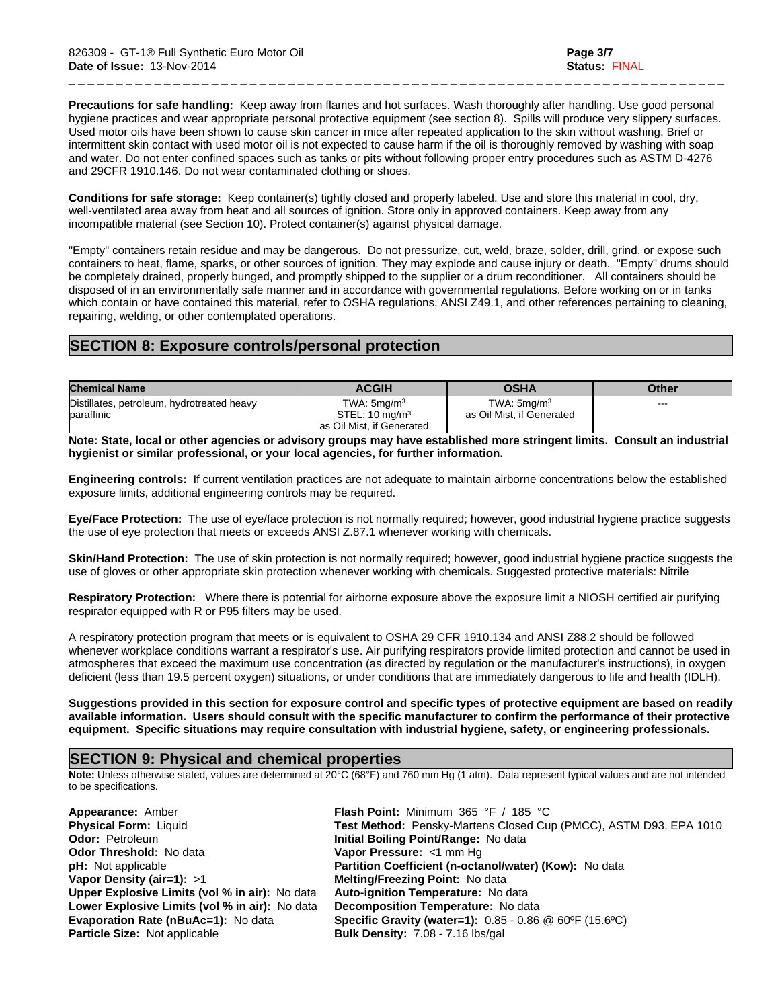**Precautions for safe handling:** Keep away from flames and hot surfaces. Wash thoroughly after handling. Use good personal hygiene practices and wear appropriate personal protective equipment (see section 8). Spills will produce very slippery surfaces. Used motor oils have been shown to cause skin cancer in mice after repeated application to the skin without washing. Brief or intermittent skin contact with used motor oil is not expected to cause harm if the oil is thoroughly removed by washing with soap and water. Do not enter confined spaces such as tanks or pits without following proper entry procedures such as ASTM D-4276 and 29CFR 1910.146. Do not wear contaminated clothing or shoes.

\_ \_ \_ \_ \_ \_ \_ \_ \_ \_ \_ \_ \_ \_ \_ \_ \_ \_ \_ \_ \_ \_ \_ \_ \_ \_ \_ \_ \_ \_ \_ \_ \_ \_ \_ \_ \_ \_ \_ \_ \_ \_ \_ \_ \_ \_ \_ \_ \_ \_ \_ \_ \_ \_ \_ \_ \_ \_ \_ \_ \_ \_ \_ \_ \_ \_ \_ \_ \_

**Conditions for safe storage:** Keep container(s) tightly closed and properly labeled. Use and store this material in cool, dry, well-ventilated area away from heat and all sources of ignition. Store only in approved containers. Keep away from any incompatible material (see Section 10). Protect container(s) against physical damage.

"Empty" containers retain residue and may be dangerous. Do not pressurize, cut, weld, braze, solder, drill, grind, or expose such containers to heat, flame, sparks, or other sources of ignition. They may explode and cause injury or death. "Empty" drums should be completely drained, properly bunged, and promptly shipped to the supplier or a drum reconditioner. All containers should be disposed of in an environmentally safe manner and in accordance with governmental regulations. Before working on or in tanks which contain or have contained this material, refer to OSHA regulations, ANSI Z49.1, and other references pertaining to cleaning, repairing, welding, or other contemplated operations.

# **SECTION 8: Exposure controls/personal protection**

| <b>Chemical Name</b>                                     | <b>ACGIH</b>                                                            | <b>OSHA</b>                                    | Other |
|----------------------------------------------------------|-------------------------------------------------------------------------|------------------------------------------------|-------|
| Distillates, petroleum, hydrotreated heavy<br>baraffinic | TWA: $5mq/m3$<br>STEL: $10 \text{ mg/m}^3$<br>as Oil Mist, if Generated | TWA: $5$ ma/m $3$<br>as Oil Mist, if Generated | ---   |

**Note: State, local or other agencies or advisory groups may have established more stringent limits. Consult an industrial hygienist or similar professional, or your local agencies, for further information.**

**Engineering controls:** If current ventilation practices are not adequate to maintain airborne concentrations below the established exposure limits, additional engineering controls may be required.

**Eye/Face Protection:** The use of eye/face protection is not normally required; however, good industrial hygiene practice suggests the use of eye protection that meets or exceeds ANSI Z.87.1 whenever working with chemicals.

**Skin/Hand Protection:** The use of skin protection is not normally required; however, good industrial hygiene practice suggests the use of gloves or other appropriate skin protection whenever working with chemicals. Suggested protective materials: Nitrile

**Respiratory Protection:** Where there is potential for airborne exposure above the exposure limit a NIOSH certified air purifying respirator equipped with R or P95 filters may be used.

A respiratory protection program that meets or is equivalent to OSHA 29 CFR 1910.134 and ANSI Z88.2 should be followed whenever workplace conditions warrant a respirator's use. Air purifying respirators provide limited protection and cannot be used in atmospheres that exceed the maximum use concentration (as directed by regulation or the manufacturer's instructions), in oxygen deficient (less than 19.5 percent oxygen) situations, or under conditions that are immediately dangerous to life and health (IDLH).

**Suggestions provided in this section for exposure control and specific types of protective equipment are based on readily available information. Users should consult with the specific manufacturer to confirm the performance of their protective equipment. Specific situations may require consultation with industrial hygiene, safety, or engineering professionals.**

# **SECTION 9: Physical and chemical properties**

**Note:** Unless otherwise stated, values are determined at 20°C (68°F) and 760 mm Hg (1 atm). Data represent typical values and are not intended to be specifications.

**Appearance:** Amber **Flash Point:** Minimum 365 °F / 185 °C **Odor:** Petroleum **Initial Boiling Point/Range:** No data **Odor Threshold:** No data **Vapor Pressure:** <1 mm Hg **Vapor Density (air=1):** >1 **Melting/Freezing Point:** No data **Upper Explosive Limits (vol % in air):** No data **Auto-ignition Temperature:** No data **Lower Explosive Limits (vol % in air):** No data **Decomposition Temperature:** No data **Particle Size:** Not applicable **Bulk Density:** 7.08 - 7.16 lbs/gal

**Physical Form:** Liquid **Test Method:** Pensky-Martens Closed Cup (PMCC), ASTM D93, EPA 1010 **pH:** Not applicable **Partition Coefficient (n-octanol/water) (Kow):** No data **Evaporation Rate (nBuAc=1):** No data **Specific Gravity (water=1):** 0.85 - 0.86 @ 60ºF (15.6ºC)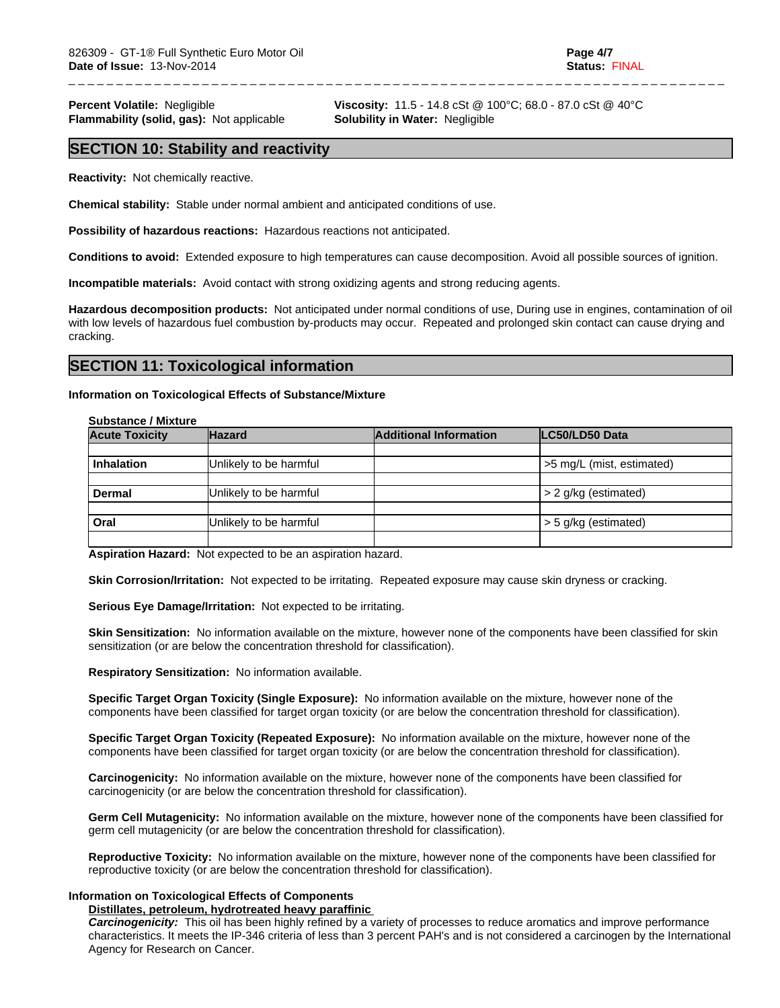**Flammability (solid, gas):** Not applicable **Solubility in Water:** Negligible

**Percent Volatile:** Negligible **Viscosity:** 11.5 - 14.8 cSt @ 100°C; 68.0 - 87.0 cSt @ 40°C

\_ \_ \_ \_ \_ \_ \_ \_ \_ \_ \_ \_ \_ \_ \_ \_ \_ \_ \_ \_ \_ \_ \_ \_ \_ \_ \_ \_ \_ \_ \_ \_ \_ \_ \_ \_ \_ \_ \_ \_ \_ \_ \_ \_ \_ \_ \_ \_ \_ \_ \_ \_ \_ \_ \_ \_ \_ \_ \_ \_ \_ \_ \_ \_ \_ \_ \_ \_ \_

## **SECTION 10: Stability and reactivity**

**Reactivity:** Not chemically reactive.

**Chemical stability:** Stable under normal ambient and anticipated conditions of use.

**Possibility of hazardous reactions:** Hazardous reactions not anticipated.

**Conditions to avoid:** Extended exposure to high temperatures can cause decomposition. Avoid all possible sources of ignition.

**Incompatible materials:** Avoid contact with strong oxidizing agents and strong reducing agents.

**Hazardous decomposition products:** Not anticipated under normal conditions of use, During use in engines, contamination of oil with low levels of hazardous fuel combustion by-products may occur. Repeated and prolonged skin contact can cause drying and cracking.

## **SECTION 11: Toxicological information**

## **Information on Toxicological Effects of Substance/Mixture**

## **Substance / Mixture**

| <b>Acute Toxicity</b> | <b>Hazard</b>          | <b>Additional Information</b> | LC50/LD50 Data            |
|-----------------------|------------------------|-------------------------------|---------------------------|
|                       |                        |                               |                           |
| <b>Inhalation</b>     | Unlikely to be harmful |                               | >5 mg/L (mist, estimated) |
|                       |                        |                               |                           |
| <b>Dermal</b>         | Unlikely to be harmful |                               | $> 2$ g/kg (estimated)    |
| Oral                  | Unlikely to be harmful |                               | $>$ 5 g/kg (estimated)    |
|                       |                        |                               |                           |

**Aspiration Hazard:** Not expected to be an aspiration hazard.

**Skin Corrosion/Irritation:** Not expected to be irritating. Repeated exposure may cause skin dryness or cracking.

**Serious Eye Damage/Irritation:** Not expected to be irritating.

**Skin Sensitization:** No information available on the mixture, however none of the components have been classified for skin sensitization (or are below the concentration threshold for classification).

**Respiratory Sensitization:** No information available.

**Specific Target Organ Toxicity (Single Exposure):** No information available on the mixture, however none of the components have been classified for target organ toxicity (or are below the concentration threshold for classification).

**Specific Target Organ Toxicity (Repeated Exposure):** No information available on the mixture, however none of the components have been classified for target organ toxicity (or are below the concentration threshold for classification).

**Carcinogenicity:** No information available on the mixture, however none of the components have been classified for carcinogenicity (or are below the concentration threshold for classification).

**Germ Cell Mutagenicity:** No information available on the mixture, however none of the components have been classified for germ cell mutagenicity (or are below the concentration threshold for classification).

**Reproductive Toxicity:** No information available on the mixture, however none of the components have been classified for reproductive toxicity (or are below the concentration threshold for classification).

## **Information on Toxicological Effects of Components**

## **Distillates, petroleum, hydrotreated heavy paraffinic**

*Carcinogenicity:* This oil has been highly refined by a variety of processes to reduce aromatics and improve performance characteristics. It meets the IP-346 criteria of less than 3 percent PAH's and is not considered a carcinogen by the International Agency for Research on Cancer.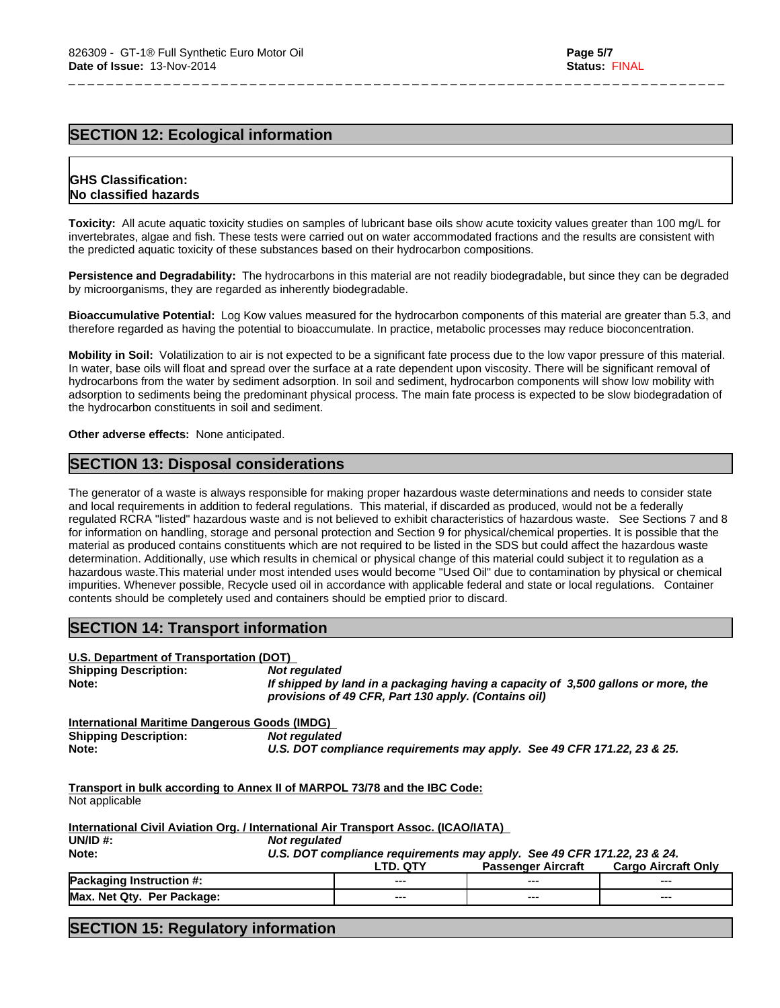# **SECTION 12: Ecological information**

## **GHS Classification: No classified hazards**

**Toxicity:** All acute aquatic toxicity studies on samples of lubricant base oils show acute toxicity values greater than 100 mg/L for invertebrates, algae and fish. These tests were carried out on water accommodated fractions and the results are consistent with the predicted aquatic toxicity of these substances based on their hydrocarbon compositions.

\_ \_ \_ \_ \_ \_ \_ \_ \_ \_ \_ \_ \_ \_ \_ \_ \_ \_ \_ \_ \_ \_ \_ \_ \_ \_ \_ \_ \_ \_ \_ \_ \_ \_ \_ \_ \_ \_ \_ \_ \_ \_ \_ \_ \_ \_ \_ \_ \_ \_ \_ \_ \_ \_ \_ \_ \_ \_ \_ \_ \_ \_ \_ \_ \_ \_ \_ \_ \_

**Persistence and Degradability:** The hydrocarbons in this material are not readily biodegradable, but since they can be degraded by microorganisms, they are regarded as inherently biodegradable.

**Bioaccumulative Potential:** Log Kow values measured for the hydrocarbon components of this material are greater than 5.3, and therefore regarded as having the potential to bioaccumulate. In practice, metabolic processes may reduce bioconcentration.

**Mobility in Soil:** Volatilization to air is not expected to be a significant fate process due to the low vapor pressure of this material. In water, base oils will float and spread over the surface at a rate dependent upon viscosity. There will be significant removal of hydrocarbons from the water by sediment adsorption. In soil and sediment, hydrocarbon components will show low mobility with adsorption to sediments being the predominant physical process. The main fate process is expected to be slow biodegradation of the hydrocarbon constituents in soil and sediment.

**Other adverse effects:** None anticipated.

# **SECTION 13: Disposal considerations**

The generator of a waste is always responsible for making proper hazardous waste determinations and needs to consider state and local requirements in addition to federal regulations. This material, if discarded as produced, would not be a federally regulated RCRA "listed" hazardous waste and is not believed to exhibit characteristics of hazardous waste. See Sections 7 and 8 for information on handling, storage and personal protection and Section 9 for physical/chemical properties. It is possible that the material as produced contains constituents which are not required to be listed in the SDS but could affect the hazardous waste determination. Additionally, use which results in chemical or physical change of this material could subject it to regulation as a hazardous waste.This material under most intended uses would become "Used Oil" due to contamination by physical or chemical impurities. Whenever possible, Recycle used oil in accordance with applicable federal and state or local regulations. Container contents should be completely used and containers should be emptied prior to discard.

# **SECTION 14: Transport information**

| U.S. Department of Transportation (DOT)       |                                                                                                                                           |
|-----------------------------------------------|-------------------------------------------------------------------------------------------------------------------------------------------|
| <b>Shipping Description:</b>                  | Not regulated                                                                                                                             |
| Note:                                         | If shipped by land in a packaging having a capacity of 3,500 gallons or more, the<br>provisions of 49 CFR, Part 130 apply. (Contains oil) |
| International Maritime Dangerous Goods (IMDG) |                                                                                                                                           |
| <b>Shipping Description:</b>                  | Not regulated                                                                                                                             |

**Note:** *U.S. DOT compliance requirements may apply. See 49 CFR 171.22, 23 & 25.*

|  | __<br>_____ |
|--|-------------|
|  |             |
|  |             |
|  |             |
|  |             |
|  |             |
|  |             |
|  |             |
|  |             |
|  |             |
|  |             |
|  |             |
|  |             |
|  |             |
|  |             |

**Transport in bulk according to Annex II of MARPOL 73/78 and the IBC Code:** Not applicable

| International Civil Aviation Org. / International Air Transport Assoc. (ICAO/IATA) |                                                                         |                 |                           |                            |  |  |  |
|------------------------------------------------------------------------------------|-------------------------------------------------------------------------|-----------------|---------------------------|----------------------------|--|--|--|
| UN/ID $#$ :                                                                        | Not regulated                                                           |                 |                           |                            |  |  |  |
| Note:                                                                              | U.S. DOT compliance requirements may apply. See 49 CFR 171.22, 23 & 24. |                 |                           |                            |  |  |  |
|                                                                                    |                                                                         | <b>LTD. QTY</b> | <b>Passenger Aircraft</b> | <b>Cargo Aircraft Only</b> |  |  |  |
| <b>Packaging Instruction #:</b>                                                    |                                                                         | $--$            | $- - -$                   | $--$                       |  |  |  |
| Max. Net Qty. Per Package:                                                         |                                                                         | $---$           | $---$                     | $---$                      |  |  |  |

# **SECTION 15: Regulatory information**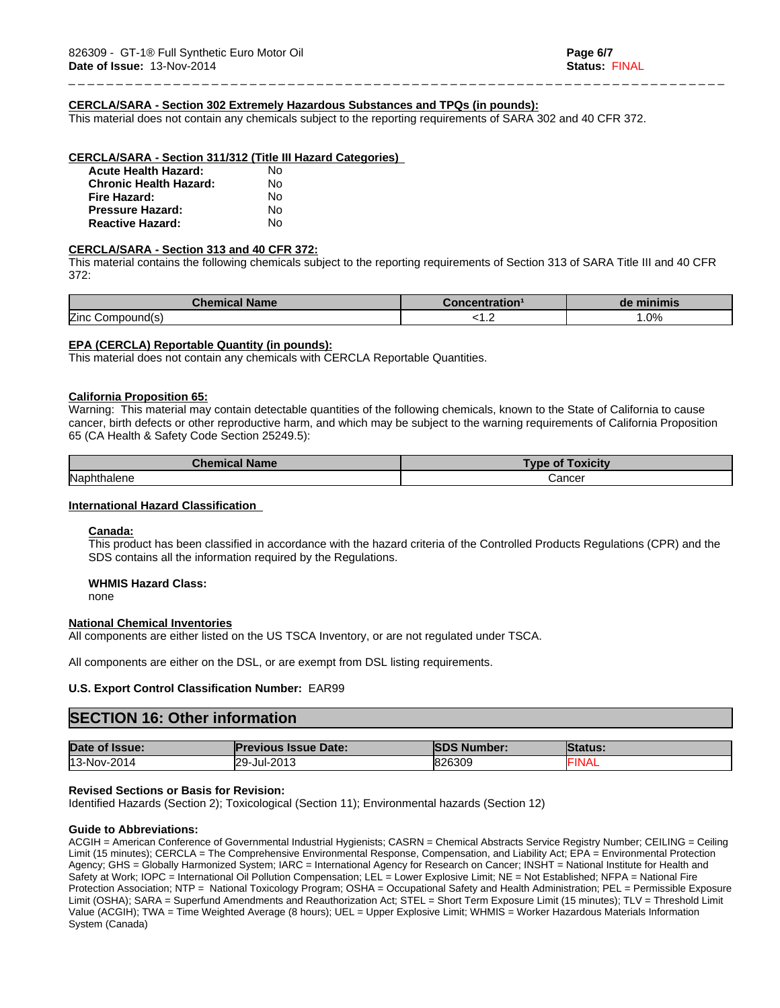## **CERCLA/SARA - Section 302 Extremely Hazardous Substances and TPQs (in pounds):**

This material does not contain any chemicals subject to the reporting requirements of SARA 302 and 40 CFR 372.

#### **CERCLA/SARA - Section 311/312 (Title III Hazard Categories)**

| <b>Acute Health Hazard:</b>   | N٥ |  |
|-------------------------------|----|--|
| <b>Chronic Health Hazard:</b> | N٥ |  |
| Fire Hazard:                  | N٥ |  |
| <b>Pressure Hazard:</b>       | N٥ |  |
| <b>Reactive Hazard:</b>       | N٥ |  |

## **CERCLA/SARA - Section 313 and 40 CFR 372:**

This material contains the following chemicals subject to the reporting requirements of Section 313 of SARA Title III and 40 CFR 372:

\_ \_ \_ \_ \_ \_ \_ \_ \_ \_ \_ \_ \_ \_ \_ \_ \_ \_ \_ \_ \_ \_ \_ \_ \_ \_ \_ \_ \_ \_ \_ \_ \_ \_ \_ \_ \_ \_ \_ \_ \_ \_ \_ \_ \_ \_ \_ \_ \_ \_ \_ \_ \_ \_ \_ \_ \_ \_ \_ \_ \_ \_ \_ \_ \_ \_ \_ \_ \_

| <b>Chemical Name</b> | $-1 - 1 - 1 - 1 - 1 - 1$<br>entratior | de minimis         |
|----------------------|---------------------------------------|--------------------|
| Zinc<br>ompound(s)ب  | .                                     | $\Omega$<br>. U /0 |

## **EPA (CERCLA) Reportable Quantity (in pounds):**

This material does not contain any chemicals with CERCLA Reportable Quantities.

#### **California Proposition 65:**

Warning: This material may contain detectable quantities of the following chemicals, known to the State of California to cause cancer, birth defects or other reproductive harm, and which may be subject to the warning requirements of California Proposition 65 (CA Health & Safety Code Section 25249.5):

| <b>Chemical Name</b> | <b>Toxicity</b><br>Type of |
|----------------------|----------------------------|
| Naphthalene          | Cancer<br>.                |

## **International Hazard Classification**

## **Canada:**

This product has been classified in accordance with the hazard criteria of the Controlled Products Regulations (CPR) and the SDS contains all the information required by the Regulations.

#### **WHMIS Hazard Class:**

none

## **National Chemical Inventories**

All components are either listed on the US TSCA Inventory, or are not regulated under TSCA.

All components are either on the DSL, or are exempt from DSL listing requirements.

## **U.S. Export Control Classification Number:** EAR99

# **SECTION 16: Other information**

| Date of Issue: | <b>Previous Issue Date:</b> | <b>ISDS Number:</b> | <b>Status:</b> |
|----------------|-----------------------------|---------------------|----------------|
| 13-Nov-2014    | 29-Jul-2013                 | 826309              | -lival         |

## **Revised Sections or Basis for Revision:**

Identified Hazards (Section 2); Toxicological (Section 11); Environmental hazards (Section 12)

## **Guide to Abbreviations:**

ACGIH = American Conference of Governmental Industrial Hygienists; CASRN = Chemical Abstracts Service Registry Number; CEILING = Ceiling Limit (15 minutes); CERCLA = The Comprehensive Environmental Response, Compensation, and Liability Act; EPA = Environmental Protection Agency; GHS = Globally Harmonized System; IARC = International Agency for Research on Cancer; INSHT = National Institute for Health and Safety at Work; IOPC = International Oil Pollution Compensation; LEL = Lower Explosive Limit; NE = Not Established; NFPA = National Fire Protection Association; NTP = National Toxicology Program; OSHA = Occupational Safety and Health Administration; PEL = Permissible Exposure Limit (OSHA); SARA = Superfund Amendments and Reauthorization Act; STEL = Short Term Exposure Limit (15 minutes); TLV = Threshold Limit Value (ACGIH); TWA = Time Weighted Average (8 hours); UEL = Upper Explosive Limit; WHMIS = Worker Hazardous Materials Information System (Canada)